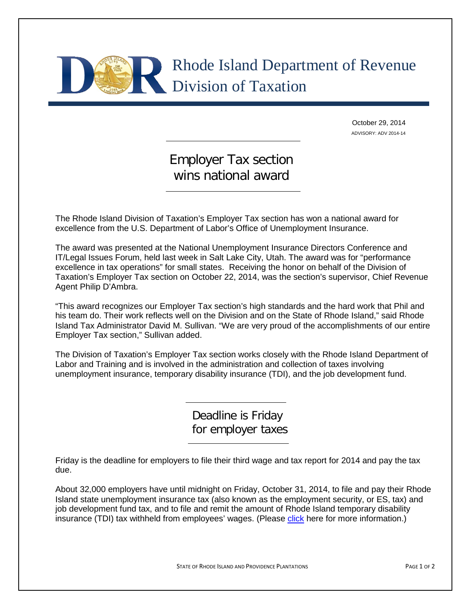## Rhode Island Department of Revenue Division of Taxation

October 29, 2014 ADVISORY: ADV 2014-14

## Employer Tax section wins national award

The Rhode Island Division of Taxation's Employer Tax section has won a national award for excellence from the U.S. Department of Labor's Office of Unemployment Insurance.

The award was presented at the National Unemployment Insurance Directors Conference and IT/Legal Issues Forum, held last week in Salt Lake City, Utah. The award was for "performance excellence in tax operations" for small states. Receiving the honor on behalf of the Division of Taxation's Employer Tax section on October 22, 2014, was the section's supervisor, Chief Revenue Agent Philip D'Ambra.

"This award recognizes our Employer Tax section's high standards and the hard work that Phil and his team do. Their work reflects well on the Division and on the State of Rhode Island," said Rhode Island Tax Administrator David M. Sullivan. "We are very proud of the accomplishments of our entire Employer Tax section," Sullivan added.

The Division of Taxation's Employer Tax section works closely with the Rhode Island Department of Labor and Training and is involved in the administration and collection of taxes involving unemployment insurance, temporary disability insurance (TDI), and the job development fund.

> Deadline is Friday for employer taxes

Friday is the deadline for employers to file their third wage and tax report for 2014 and pay the tax due.

About 32,000 employers have until midnight on Friday, October 31, 2014, to file and pay their Rhode Island state unemployment insurance tax (also known as the employment security, or ES, tax) and job development fund tax, and to file and remit the amount of Rhode Island temporary disability insurance (TDI) tax withheld from employees' wages. (Please [click](http://www.uitax.ri.gov/) here for more information.)